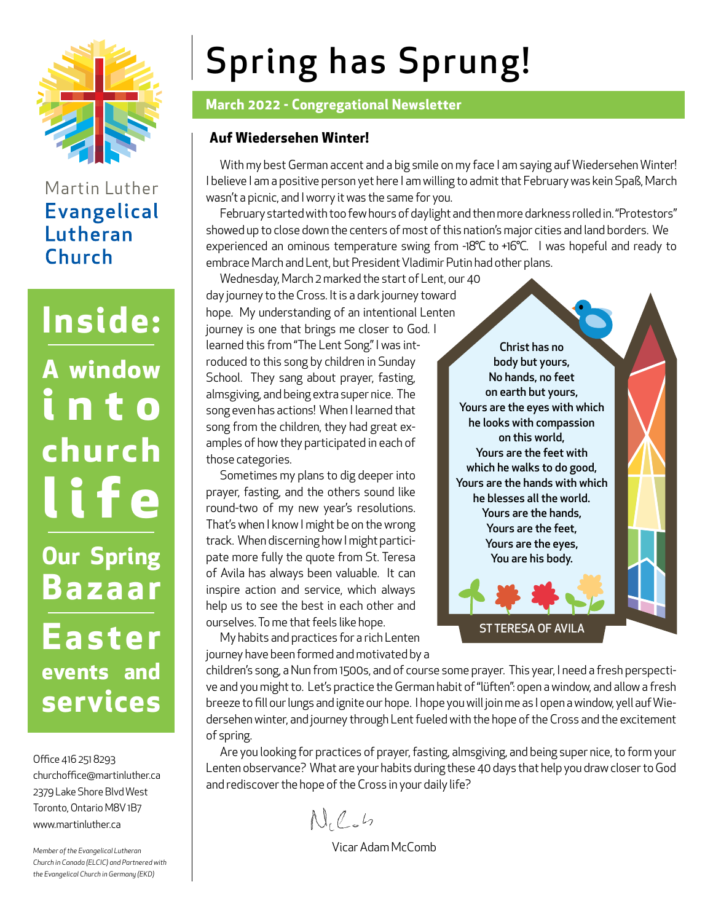

# Martin Luther **Evangelical** Lutheran Church

# **Inside: A window i n t o church life Our Spring Bazaar**

**E a s t e r events and services**

Office 416 251 8293 churchoffice@martinluther.ca 2379 Lake Shore Blvd West Toronto, Ontario M8V 1B7 www.martinluther.ca

*Member of the Evangelical Lutheran Church in Canada (ELCIC) and Partnered with the Evangelical Church in Germany (EKD)*

# Spring has Sprung!

#### **March 2022 - Congregational Newsletter**

#### **Auf Wiedersehen Winter!**

With my best German accent and a big smile on my face I am saying auf Wiedersehen Winter! I believe I am a positive person yet here I am willing to admit that February was kein Spaß, March wasn't a picnic, and I worry it was the same for you.

February started with too few hours of daylight and then more darkness rolled in. "Protestors" showed up to close down the centers of most of this nation's major cities and land borders. We experienced an ominous temperature swing from -18°C to +16°C. I was hopeful and ready to embrace March and Lent, but President Vladimir Putin had other plans.

Wednesday, March 2 marked the start of Lent, our 40 day journey to the Cross. It is a dark journey toward hope. My understanding of an intentional Lenten journey is one that brings me closer to God. I learned this from "The Lent Song." I was introduced to this song by children in Sunday School. They sang about prayer, fasting, almsgiving, and being extra super nice. The song even has actions! When I learned that song from the children, they had great examples of how they participated in each of those categories.

Sometimes my plans to dig deeper into prayer, fasting, and the others sound like round-two of my new year's resolutions. That's when I know I might be on the wrong track. When discerning how I might participate more fully the quote from St. Teresa of Avila has always been valuable. It can inspire action and service, which always help us to see the best in each other and ourselves. To me that feels like hope.

My habits and practices for a rich Lenten journey have been formed and motivated by a

Christ has no body but yours, No hands, no feet on earth but yours, Yours are the eyes with which he looks with compassion on this world, Yours are the feet with which he walks to do good, Yours are the hands with which he blesses all the world. Yours are the hands, Yours are the feet, Yours are the eyes, You are his body.

ST TERESA OF AVILA

children's song, a Nun from 1500s, and of course some prayer. This year, I need a fresh perspective and you might to. Let's practice the German habit of "lüften": open a window, and allow a fresh breeze to fill our lungs and ignite our hope. I hope you will join me as I open a window, yell auf Wiedersehen winter, and journey through Lent fueled with the hope of the Cross and the excitement of spring.

Are you looking for practices of prayer, fasting, almsgiving, and being super nice, to form your Lenten observance? What are your habits during these 40 days that help you draw closer to God and rediscover the hope of the Cross in your daily life?

 $N_{1}$   $C_{2}$   $L_{2}$ 

Vicar Adam McComb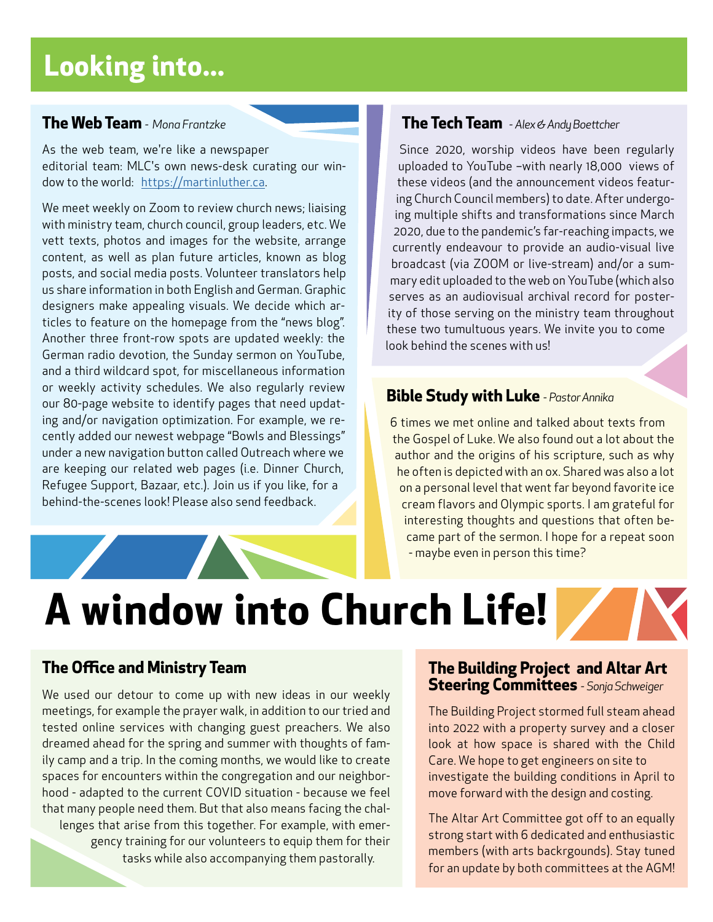# **Looking into...**

#### **The Web Team** *- Mona Frantzke*

As the web team, we're like a newspaper editorial team: MLC's own news-desk curating our window to the world: https://martinluther.ca.

We meet weekly on Zoom to review church news; liaising with ministry team, church council, group leaders, etc. We vett texts, photos and images for the website, arrange content, as well as plan future articles, known as blog posts, and social media posts. Volunteer translators help us share information in both English and German. Graphic designers make appealing visuals. We decide which articles to feature on the homepage from the "news blog". Another three front-row spots are updated weekly: the German radio devotion, the Sunday sermon on YouTube, and a third wildcard spot, for miscellaneous information or weekly activity schedules. We also regularly review our 80-page website to identify pages that need updating and/or navigation optimization. For example, we recently added our newest webpage "Bowls and Blessings" under a new navigation button called Outreach where we are keeping our related web pages (i.e. Dinner Church, Refugee Support, Bazaar, etc.). Join us if you like, for a behind-the-scenes look! Please also send feedback.

#### **The Tech Team** *- Alex & Andy Boettcher*

Since 2020, worship videos have been regularly uploaded to YouTube –with nearly 18,000 views of these videos (and the announcement videos featuring Church Council members) to date. After undergoing multiple shifts and transformations since March 2020, due to the pandemic's far-reaching impacts, we currently endeavour to provide an audio-visual live broadcast (via ZOOM or live-stream) and/or a summary edit uploaded to the web on YouTube (which also serves as an audiovisual archival record for posterity of those serving on the ministry team throughout these two tumultuous years. We invite you to come look behind the scenes with us!

#### **Bible Study with Luke** *- Pastor Annika*

6 times we met online and talked about texts from the Gospel of Luke. We also found out a lot about the author and the origins of his scripture, such as why he often is depicted with an ox. Shared was also a lot on a personal level that went far beyond favorite ice cream flavors and Olympic sports. I am grateful for interesting thoughts and questions that often became part of the sermon. I hope for a repeat soon - maybe even in person this time?

**A window into Church Life!**

#### **The Office and Ministry Team**

We used our detour to come up with new ideas in our weekly meetings, for example the prayer walk, in addition to our tried and tested online services with changing guest preachers. We also dreamed ahead for the spring and summer with thoughts of family camp and a trip. In the coming months, we would like to create spaces for encounters within the congregation and our neighborhood - adapted to the current COVID situation - because we feel that many people need them. But that also means facing the challenges that arise from this together. For example, with emergency training for our volunteers to equip them for their tasks while also accompanying them pastorally.

#### **The Building Project and Altar Art Steering Committees** *- Sonja Schweiger*

The Building Project stormed full steam ahead into 2022 with a property survey and a closer look at how space is shared with the Child Care. We hope to get engineers on site to investigate the building conditions in April to move forward with the design and costing.

The Altar Art Committee got off to an equally strong start with 6 dedicated and enthusiastic members (with arts backrgounds). Stay tuned for an update by both committees at the AGM!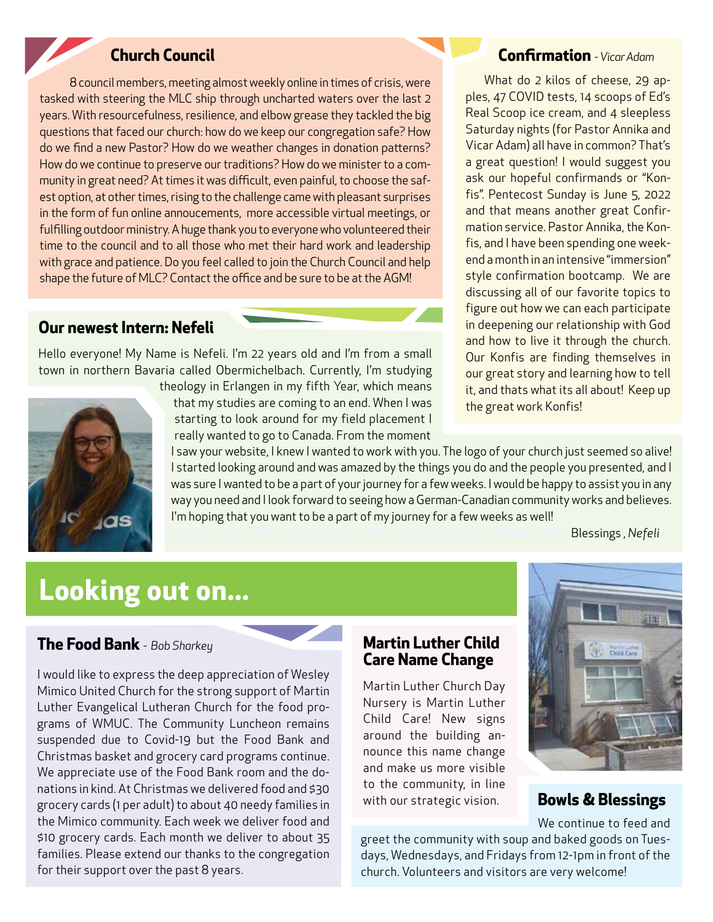## **Church Council**

8 council members, meeting almost weekly online in times of crisis, were tasked with steering the MLC ship through uncharted waters over the last 2 years. With resourcefulness, resilience, and elbow grease they tackled the big questions that faced our church: how do we keep our congregation safe? How do we find a new Pastor? How do we weather changes in donation patterns? How do we continue to preserve our traditions? How do we minister to a community in great need? At times it was difficult, even painful, to choose the safest option, at other times, rising to the challenge came with pleasant surprises in the form of fun online annoucements, more accessible virtual meetings, or fulfilling outdoor ministry. A huge thank you to everyone who volunteered their time to the council and to all those who met their hard work and leadership with grace and patience. Do you feel called to join the Church Council and help shape the future of MLC? Contact the office and be sure to be at the AGM!

#### **Our newest Intern: Nefeli**

Hello everyone! My Name is Nefeli. I'm 22 years old and I'm from a small town in northern Bavaria called Obermichelbach. Currently, I'm studying



theology in Erlangen in my fifth Year, which means that my studies are coming to an end. When I was starting to look around for my field placement I really wanted to go to Canada. From the moment

**Confirmation** *- Vicar Adam*

What do 2 kilos of cheese, 29 apples, 47 COVID tests, 14 scoops of Ed's Real Scoop ice cream, and 4 sleepless Saturday nights (for Pastor Annika and Vicar Adam) all have in common? That's a great question! I would suggest you ask our hopeful confirmands or "Konfis". Pentecost Sunday is June 5, 2022 and that means another great Confirmation service. Pastor Annika, the Konfis, and I have been spending one weekend a month in an intensive "immersion" style confirmation bootcamp. We are discussing all of our favorite topics to figure out how we can each participate in deepening our relationship with God and how to live it through the church. Our Konfis are finding themselves in our great story and learning how to tell it, and thats what its all about! Keep up the great work Konfis!

I saw your website, I knew I wanted to work with you. The logo of your church just seemed so alive! I started looking around and was amazed by the things you do and the people you presented, and I was sure I wanted to be a part of your journey for a few weeks. I would be happy to assist you in any way you need and I look forward to seeing how a German-Canadian community works and believes. I'm hoping that you want to be a part of my journey for a few weeks as well!

Blessings, Nefeli

# **Looking out on...**

#### **The Food Bank** *- Bob Sharkey*

I would like to express the deep appreciation of Wesley Mimico United Church for the strong support of Martin Luther Evangelical Lutheran Church for the food programs of WMUC. The Community Luncheon remains suspended due to Covid-19 but the Food Bank and Christmas basket and grocery card programs continue. We appreciate use of the Food Bank room and the donations in kind. At Christmas we delivered food and \$30 grocery cards (1 per adult) to about 40 needy families in the Mimico community. Each week we deliver food and \$10 grocery cards. Each month we deliver to about 35 families. Please extend our thanks to the congregation for their support over the past 8 years.



Martin Luther Church Day Nursery is Martin Luther Child Care! New signs around the building announce this name change and make us more visible to the community, in line with our strategic vision.



**Bowls & Blessings**

We continue to feed and

greet the community with soup and baked goods on Tuesdays, Wednesdays, and Fridays from 12-1pm in front of the church. Volunteers and visitors are very welcome!